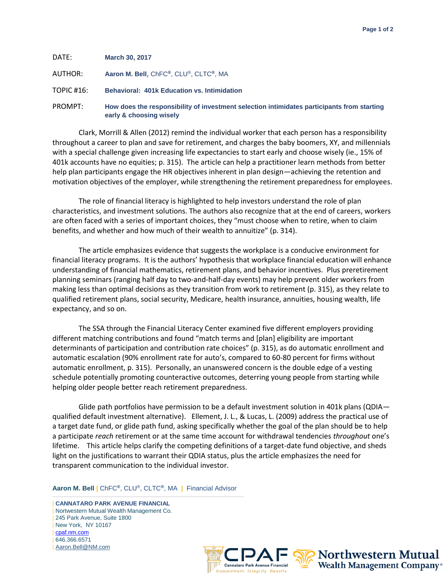| DATE:      | <b>March 30, 2017</b>                                                                                                 |
|------------|-----------------------------------------------------------------------------------------------------------------------|
| AUTHOR:    | Aaron M. Bell, ChFC®, CLU®, CLTC®, MA                                                                                 |
| TOPIC #16: | <b>Behavioral: 401k Education vs. Intimidation</b>                                                                    |
| PROMPT:    | How does the responsibility of investment selection intimidates participants from starting<br>early & choosing wisely |

Clark, Morrill & Allen (2012) remind the individual worker that each person has a responsibility throughout a career to plan and save for retirement, and charges the baby boomers, XY, and millennials with a special challenge given increasing life expectancies to start early and choose wisely (ie., 15% of 401k accounts have no equities; p. 315). The article can help a practitioner learn methods from better help plan participants engage the HR objectives inherent in plan design—achieving the retention and motivation objectives of the employer, while strengthening the retirement preparedness for employees.

The role of financial literacy is highlighted to help investors understand the role of plan characteristics, and investment solutions. The authors also recognize that at the end of careers, workers are often faced with a series of important choices, they "must choose when to retire, when to claim benefits, and whether and how much of their wealth to annuitize" (p. 314).

The article emphasizes evidence that suggests the workplace is a conducive environment for financial literacy programs. It is the authors' hypothesis that workplace financial education will enhance understanding of financial mathematics, retirement plans, and behavior incentives. Plus preretirement planning seminars (ranging half day to two-and-half-day events) may help prevent older workers from making less than optimal decisions as they transition from work to retirement (p. 315), as they relate to qualified retirement plans, social security, Medicare, health insurance, annuities, housing wealth, life expectancy, and so on.

The SSA through the Financial Literacy Center examined five different employers providing different matching contributions and found "match terms and [plan] eligibility are important determinants of participation and contribution rate choices" (p. 315), as do automatic enrollment and automatic escalation (90% enrollment rate for auto's, compared to 60-80 percent for firms without automatic enrollment, p. 315). Personally, an unanswered concern is the double edge of a vesting schedule potentially promoting counteractive outcomes, deterring young people from starting while helping older people better reach retirement preparedness.

Glide path portfolios have permission to be a default investment solution in 401k plans (QDIA qualified default investment alternative). Ellement, J. L., & Lucas, L. (2009) address the practical use of a target date fund, or glide path fund, asking specifically whether the goal of the plan should be to help a participate *reach* retirement or at the same time account for withdrawal tendencies *throughout* one's lifetime. This article helps clarify the competing definitions of a target-date fund objective, and sheds light on the justifications to warrant their QDIA status, plus the article emphasizes the need for transparent communication to the individual investor.

**Aaron M. Bell |** ChFC**®**, CLU®, CLTC**®**, MA **|** Financial Advisor

 $\overline{\phantom{a}}$  , and the contract of the contract of the contract of the contract of the contract of the contract of the contract of the contract of the contract of the contract of the contract of the contract of the contrac | **CANNATARO PARK AVENUE FINANCIAL** | Nortwestern Mutual Wealth Management Co. | 245 Park Avenue, Suite 1800 | New York, NY 10167 | [cpaf.nm.com](http://www.cpaf.nm.com/) | 646.366.6571 [Aaron.Bell@NM.com](mailto:Aaron.Bell@NM.com)